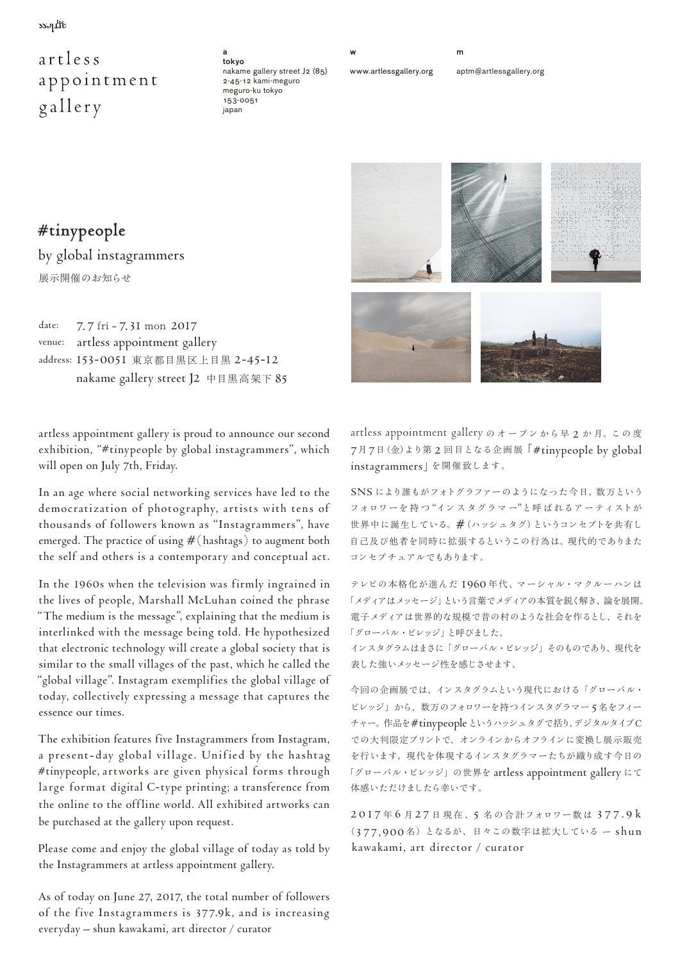$ss$ -

## artless appointment gallery

a tokyo nakame gallery street J2 (85) 2-45-12 kami-meguro meguro-ku tokyo 153-0051 japan

www.artlessgallery.org

w

aptm@artlessgallery.org



#tinypeople by global instagrammers 展示開催のお知らせ

date: 7. 7 fri - 7.31 mon 2017 venue: artless appointment gallery address: 153-0051 東京都目黒区上目黒 2-45-12 nakame gallery street J2 中目黒高架下 85

artless appointment gallery is proud to announce our second exhibition, "#tinypeople by global instagrammers", which will open on July 7th, Friday.

In an age where social networking services have led to the democratization of photography, artists with tens of thousands of followers known as "Instagrammers", have emerged. The practice of using #( hashtags) to augment both the self and others is a contemporary and conceptual act.

In the 1960s when the television was firmly ingrained in the lives of people, Marshall McLuhan coined the phrase "The medium is the message", explaining that the medium is interlinked with the message being told. He hypothesized that electronic technology will create a global society that is similar to the small villages of the past, which he called the "global village". Instagram exemplifies the global village of today, collectively expressing a message that captures the essence our times.

The exhibition features five Instagrammers from Instagram, a present- day global village. Unified by the hashtag #tinypeople, artworks are given physical forms through large format digital C-type printing; a transference from the online to the offline world. All exhibited artworks can be purchased at the gallery upon request.

Please come and enjoy the global village of today as told by the Instagrammers at artless appointment gallery.

As of today on June 27, 2017, the total number of followers of the five Instagrammers is 377.9k, and is increasing everyday – shun kawakami, art director / curator

artless appointment gallery のオープンから早 2 か 月。こ の 度 7月7日(金)より第 2 回目となる企画展「#tinypeople by global instagrammers」を開催致します。

SNS により誰もがフォトグラファーのようになった今日、数万という フォロワーを持つ "インスタグラマー"と呼ばれるアーティストが 世界中に誕生している。#(ハッシュタグ)というコンセプトを共有し 自己及び他者を同時に拡張するというこの行為は、現代的でありまた コンセプチュアルでもあります。

テレビの本格化が進んだ 1960 年代、マーシャル・マクルーハンは 「メディアはメッセージ」という言葉でメディアの本質を鋭く解き、論を展開。 電子メディアは世界的な規模で昔の村のような社会を作るとし、それを 「グローバル・ビレッジ」と呼びました。

インスタグラムはまさに「グローバル・ビレッジ」そのものであり、現代を 表した強いメッセージ性を感じさせます。

今回の企画展では、インスタグラムという現代における「グローバル・ ビレッジ」から、数万のフォロワーを持つインスタグラマー 5名をフィー チャー。作品を#tinypeopleというハッシュタグで括り、デジタルタイプC での大判限定プリントで、オンラインからオフラインに変換し展示販売 を行います。現代を体現するインスタグラマーたちが織り成す今日の 「グローバル・ビレッジ」の世界を artless appointment gallery にて 体感いただけましたら幸いです。

2017年6月27日現在、5名の合計フォロワー数は377.9k (377,900 名)となるが、日々この数字は拡大している ー shun kawakami, art director / curator

m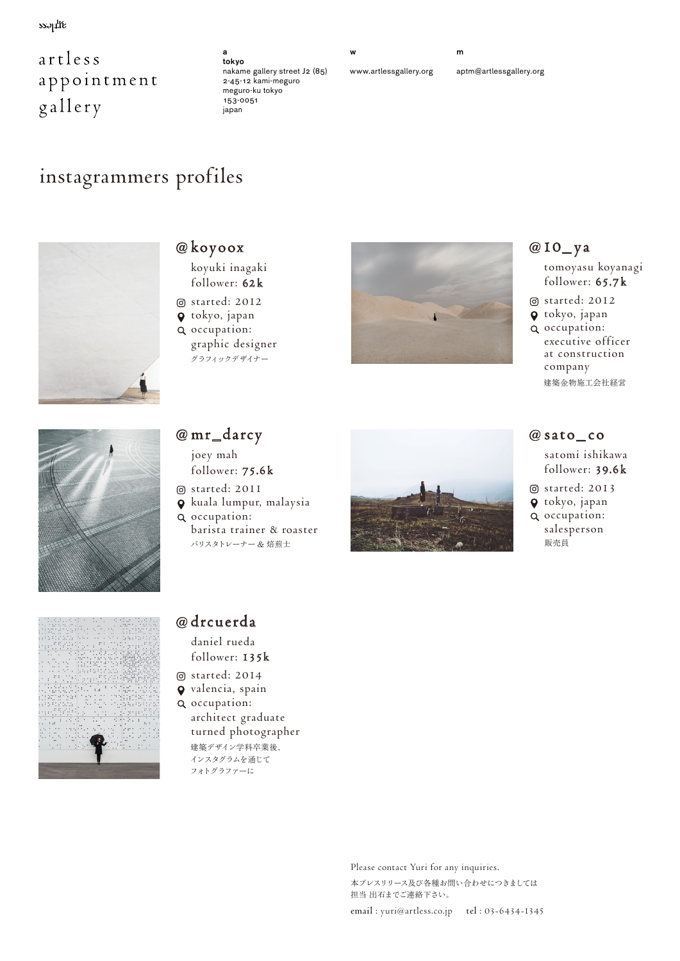$ss$ -

## artless appointment gallery

#### tokyo nakame gallery street J2 (85) 2-45-12 kami-meguro meguro-ku tokyo 153-0051 japan

a

www.artlessgallery.org

aptm@artlessgallery.org

m

# instagrammers profiles



### @ koyoox

- koyuki inagaki follower: 62k
- started: 2012
- tokyo, japan occupation:
- graphic designer グラフィックデザイナー



### @10\_ y a

 tomoyasu koyanagi follower: 65.7 k

- started: 2012
- tokyo, japan
- occupation: executive officer at construction company 建築金物施工会社経営



### @ mr\_darcy

- joey mah follower: 75.6k
- started: 2011
- kuala lumpur, malaysia
- occupation: barista trainer & roaster バリスタトレーナー & 焙煎士



### @ sato\_ co

 satomi ishikawa follower: 39.6k

- started: 2013
- tokyo, japan
- Q occupation: salesperson 販売員



### @ drcuerda

 daniel rueda follower: 135k

- started: 2014
- valencia, spain
- occupation:
	- architect graduate turned photographer 建築デザイン学科卒業後、 インスタグラムを通じて フォトグラファーに

Please contact Yuri for any inquiries. 本プレスリリース及び各種お問い合わせにつきましては 担当 出石までご連絡下さい。



w